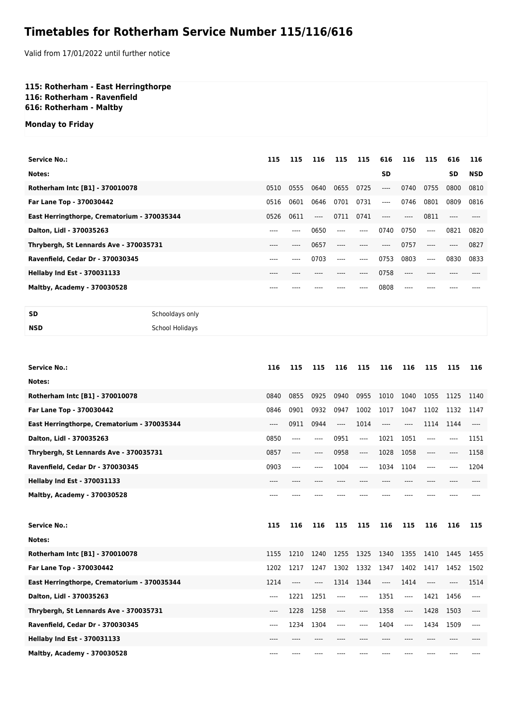## **Timetables for Rotherham Service Number 115/116/616**

Valid from 17/01/2022 until further notice

**115: Rotherham - East Herringthorpe 116: Rotherham - Ravenfield 616: Rotherham - Maltby**

**Monday to Friday**

| 115  | 115  | 116   | 115  | 115     | 616   | 116   | 115   | 616     | 116        |
|------|------|-------|------|---------|-------|-------|-------|---------|------------|
|      |      |       |      |         | SD    |       |       | SD      | <b>NSD</b> |
| 0510 | 0555 | 0640  | 0655 | 0725    | $---$ | 0740  | 0755  | 0800    | 0810       |
| 0516 | 0601 | 0646  | 0701 | 0731    | ----  | 0746  | 0801  | 0809    | 0816       |
| 0526 | 0611 | $---$ | 0711 | 0741    | $---$ | $---$ | 0811  |         |            |
| ---- |      | 0650  | ---- | $---$   | 0740  | 0750  | $---$ | 0821    | 0820       |
| ---- | ---- | 0657  | ---- | $--- -$ | $---$ | 0757  | $---$ | $-----$ | 0827       |
| ---- |      | 0703  | ---- | $---$   | 0753  | 0803  | $---$ | 0830    | 0833       |
| ---- |      |       |      |         | 0758  | ----  |       |         |            |
|      |      |       |      |         | 0808  | ----  |       |         |            |
|      |      |       |      |         |       |       |       |         |            |

```
SD Schooldays only
```

```
NSD School Holidays
```

| <b>Service No.:</b>                         | 116  | 115  | 115  | 116  | 115      | 116   | 116                           | 115      | 115  | 116   |
|---------------------------------------------|------|------|------|------|----------|-------|-------------------------------|----------|------|-------|
| Notes:                                      |      |      |      |      |          |       |                               |          |      |       |
|                                             |      |      |      |      |          |       |                               |          |      |       |
| Rotherham Intc [B1] - 370010078             | 0840 | 0855 | 0925 | 0940 | 0955     | 1010  | 1040                          | 1055     | 1125 | 1140  |
| Far Lane Top - 370030442                    | 0846 | 0901 | 0932 | 0947 | 1002     | 1017  | 1047                          | 1102     | 1132 | 1147  |
| East Herringthorpe, Crematorium - 370035344 | ---- | 0911 | 0944 | ---- | 1014     | $---$ | $---$                         | 1114     | 1144 | $---$ |
| Dalton, Lidl - 370035263                    | 0850 | ---- | ---- | 0951 | $---$    | 1021  | 1051                          | $---$    | ---- | 1151  |
| Thrybergh, St Lennards Ave - 370035731      | 0857 | ---- | ---- | 0958 | $\cdots$ | 1028  | 1058                          | $\cdots$ | ---- | 1158  |
| Ravenfield, Cedar Dr - 370030345            | 0903 | ---- | ---- | 1004 | $---$    | 1034  | 1104                          | $---$    | ---- | 1204  |
| <b>Hellaby Ind Est - 370031133</b>          | ---- | ---- |      |      | ----     | ----  |                               | $---$    |      |       |
| Maltby, Academy - 370030528                 |      |      |      |      |          |       |                               |          |      |       |
|                                             |      |      |      |      |          |       |                               |          |      |       |
| <b>Service No.:</b>                         | 115  | 116  | 116  | 115  | 115      | 116   | 115                           | 116      | 116  | 115   |
| Notes:                                      |      |      |      |      |          |       |                               |          |      |       |
| Rotherham Intc [B1] - 370010078             | 1155 | 1210 | 1240 | 1255 | 1325     | 1340  | 1355                          | 1410     | 1445 | 1455  |
| Far Lane Top - 370030442                    | 1202 | 1217 | 1247 | 1302 | 1332     | 1347  | 1402                          | 1417     | 1452 | 1502  |
| East Herringthorpe, Crematorium - 370035344 | 1214 | ---- | ---- | 1314 | 1344     | ----  | 1414                          | $---$    |      | 1514  |
| Dalton, Lidl - 370035263                    | ---- | 1221 | 1251 | ---- | $---$    | 1351  | $-----$                       | 1421     | 1456 | ----  |
| Thrybergh, St Lennards Ave - 370035731      | ---- | 1228 | 1258 | ---- | $---$    | 1358  | $\hspace{1.5cm} \textbf{---}$ | 1428     | 1503 | ----  |
| Ravenfield, Cedar Dr - 370030345            | ---- | 1234 | 1304 | ---- | $---$    | 1404  | ----                          | 1434     | 1509 | ----  |
| <b>Hellaby Ind Est - 370031133</b>          |      |      |      |      |          |       |                               |          |      |       |
| Maltby, Academy - 370030528                 | ---- |      |      |      |          |       |                               |          |      |       |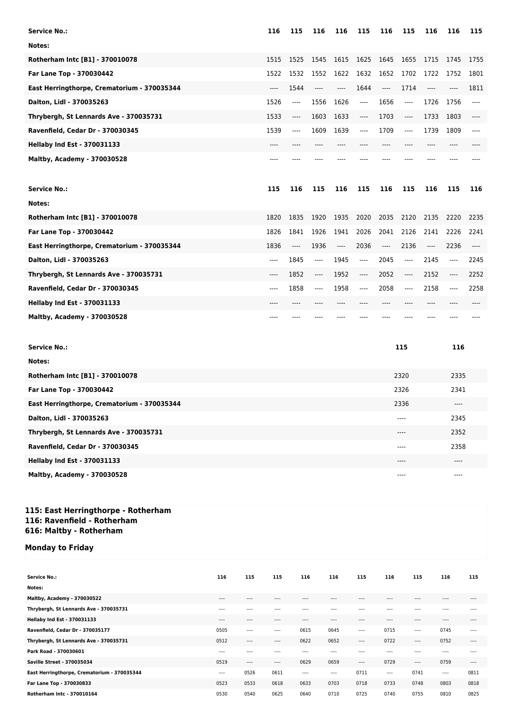| <b>Service No.:</b>                         | 116   | 115      | 116      | 116  | 115     | 116                           | 115   | 116     | 116  | 115  |
|---------------------------------------------|-------|----------|----------|------|---------|-------------------------------|-------|---------|------|------|
| Notes:                                      |       |          |          |      |         |                               |       |         |      |      |
| Rotherham Intc [B1] - 370010078             | 1515  | 1525     | 1545     | 1615 | 1625    | 1645                          | 1655  | 1715    | 1745 | 1755 |
| Far Lane Top - 370030442                    | 1522  | 1532     | 1552     | 1622 | 1632    | 1652                          | 1702  | 1722    | 1752 | 1801 |
| East Herringthorpe, Crematorium - 370035344 | ----  | 1544     | $---$    | ---- | 1644    | $\hspace{1.5cm} \textbf{---}$ | 1714  | $-----$ |      | 1811 |
| Dalton, Lidl - 370035263                    | 1526  | $---$    | 1556     | 1626 | $-----$ | 1656                          | ----  | 1726    | 1756 | ---- |
| Thrybergh, St Lennards Ave - 370035731      | 1533  | ----     | 1603     | 1633 | ----    | 1703                          | ----  | 1733    | 1803 | ---- |
| Ravenfield, Cedar Dr - 370030345            | 1539  | ----     | 1609     | 1639 | $---$   | 1709                          | $---$ | 1739    | 1809 | ---- |
| <b>Hellaby Ind Est - 370031133</b>          | $---$ |          |          |      |         | ----                          | ----  |         |      |      |
| Maltby, Academy - 370030528                 | ----  |          |          |      |         |                               |       |         |      |      |
|                                             |       |          |          |      |         |                               |       |         |      |      |
| <b>Service No.:</b>                         | 115   | 116      | 115      | 116  | 115     | 116                           | 115   | 116     | 115  | 116  |
| Notes:                                      |       |          |          |      |         |                               |       |         |      |      |
| Rotherham Intc [B1] - 370010078             | 1820  | 1835     | 1920     | 1935 | 2020    | 2035                          | 2120  | 2135    | 2220 | 2235 |
| Far Lane Top - 370030442                    | 1826  | 1841     | 1926     | 1941 | 2026    | 2041                          | 2126  | 2141    | 2226 | 2241 |
| East Herringthorpe, Crematorium - 370035344 | 1836  | $\cdots$ | 1936     | ---- | 2036    | $\hspace{1.5cm} \textbf{---}$ | 2136  | ----    | 2236 | ---- |
| Dalton, Lidl - 370035263                    | ----  | 1845     | ----     | 1945 | $-----$ | 2045                          | ----  | 2145    | ---- | 2245 |
| Thrybergh, St Lennards Ave - 370035731      | ----  | 1852     | $\cdots$ | 1952 | ----    | 2052                          | ----  | 2152    | ---- | 2252 |
| Ravenfield, Cedar Dr - 370030345            | ----  | 1858     | $---$    | 1958 | ----    | 2058                          | ----  | 2158    | ---- | 2258 |
| <b>Hellaby Ind Est - 370031133</b>          | ----  | ----     |          | ---- |         | $---$                         | ----  | ----    |      |      |

| <b>Service No.:</b>                         | 115  | 116   |
|---------------------------------------------|------|-------|
| Notes:                                      |      |       |
| Rotherham Intc [B1] - 370010078             | 2320 | 2335  |
| Far Lane Top - 370030442                    | 2326 | 2341  |
| East Herringthorpe, Crematorium - 370035344 | 2336 | $---$ |
| Dalton, Lidl - 370035263                    | ---- | 2345  |
| Thrybergh, St Lennards Ave - 370035731      | ---- | 2352  |
| Ravenfield, Cedar Dr - 370030345            | ---- | 2358  |
| <b>Hellaby Ind Est - 370031133</b>          | ---- | $---$ |
| Maltby, Academy - 370030528                 | ---- | $---$ |

## **115: East Herringthorpe - Rotherham 116: Ravenfield - Rotherham 616: Maltby - Rotherham**

## **Monday to Friday**

| <b>Service No.:</b>                         | 116       | 115       | 115       | 116       | 116      | 115       | 116       | 115       | 116       | 115       |
|---------------------------------------------|-----------|-----------|-----------|-----------|----------|-----------|-----------|-----------|-----------|-----------|
| Notes:                                      |           |           |           |           |          |           |           |           |           |           |
| Maltby, Academy - 370030522                 | $- - - -$ | $---$     | $\cdots$  | $- - - -$ | $\cdots$ | $- - - -$ | $---$     | $\cdots$  | $- - - -$ | $\cdots$  |
| Thrybergh, St Lennards Ave - 370035731      | $---$     | $\cdots$  | $- - - -$ | $- - - -$ | 1.111    | $\cdots$  | $\cdots$  | $- - - -$ | $- - - -$ | $\cdots$  |
| <b>Hellaby Ind Est - 370031133</b>          | $- - - -$ | $---$     | $---$     | $- - - -$ | $\cdots$ | $- - - -$ | $---$     | $\cdots$  | $- - - -$ | $\cdots$  |
| Ravenfield, Cedar Dr - 370035177            | 0505      | $\cdots$  | $- - - -$ | 0615      | 0645     | $---$     | 0715      | $- - - -$ | 0745      | $\cdots$  |
| Thrybergh, St Lennards Ave - 370035731      | 0512      | $\cdots$  | $\cdots$  | 0622      | 0652     | $---$     | 0722      | $- - - -$ | 0752      | $---$     |
| Park Road - 370030601                       | $- - - -$ | $- - - -$ | $- - - -$ | $- - - -$ | $\cdots$ | $- - - -$ | $- - - -$ | $- - - -$ | $- - - -$ | $- - - -$ |
| Saville Street - 370035034                  | 0519      | $---$     | $\cdots$  | 0629      | 0659     | $---$     | 0729      | $---$     | 0759      | $\cdots$  |
| East Herringthorpe, Crematorium - 370035344 | $---$     | 0526      | 0611      | 1.111     | $\cdots$ | 0711      | ----      | 0741      | $\cdots$  | 0811      |
| Far Lane Top - 370030833                    | 0523      | 0533      | 0618      | 0633      | 0703     | 0718      | 0733      | 0748      | 0803      | 0818      |
| Rotherham Intc - 370010164                  | 0530      | 0540      | 0625      | 0640      | 0710     | 0725      | 0740      | 0755      | 0810      | 0825      |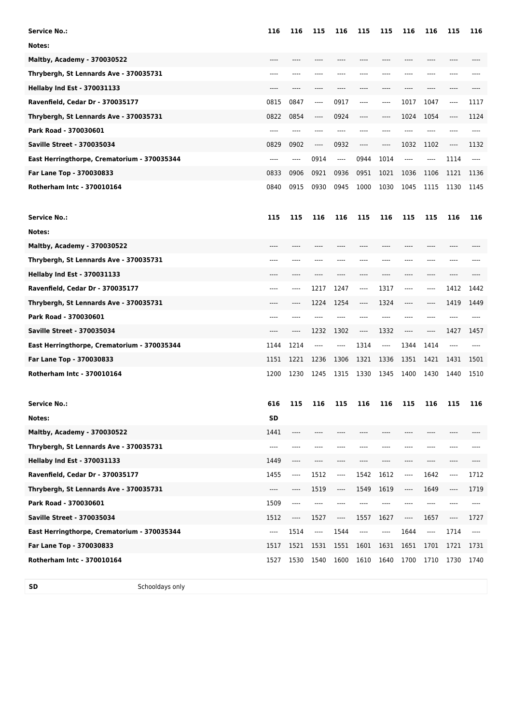| <b>Service No.:</b>                         |                 | 116   | 116  | 115      | 116      | 115   | 115                           | 116   | 116  | 115   | 116  |
|---------------------------------------------|-----------------|-------|------|----------|----------|-------|-------------------------------|-------|------|-------|------|
| Notes:                                      |                 |       |      |          |          |       |                               |       |      |       |      |
| <b>Maltby, Academy - 370030522</b>          |                 | $---$ | ---- | $---$    | ----     | ----  | $---$                         | ----  | ---- | ----  |      |
| Thrybergh, St Lennards Ave - 370035731      |                 | $---$ | ---- |          |          |       | ----                          | ----  | ---- | ----  |      |
| <b>Hellaby Ind Est - 370031133</b>          |                 | ----  | ---- |          | ----     | ----  | $---$                         | ----  | ---- | ----  |      |
| Ravenfield, Cedar Dr - 370035177            |                 | 0815  | 0847 | $\cdots$ | 0917     | ----  | $---$                         | 1017  | 1047 | ----  | 1117 |
| Thrybergh, St Lennards Ave - 370035731      |                 | 0822  | 0854 | $---$    | 0924     | ----  | $-----$                       | 1024  | 1054 | ----  | 1124 |
| Park Road - 370030601                       |                 | ----  | ---- | $---$    | $---$    | $---$ | $---$                         | ----  | ---- | ----  | ---- |
| <b>Saville Street - 370035034</b>           |                 | 0829  | 0902 | $---$    | 0932     | ----  | $---$                         | 1032  | 1102 | $---$ | 1132 |
| East Herringthorpe, Crematorium - 370035344 |                 | $---$ | ---- | 0914     | $\cdots$ | 0944  | 1014                          | $---$ | ---- | 1114  | ---- |
| Far Lane Top - 370030833                    |                 | 0833  | 0906 | 0921     | 0936     | 0951  | 1021                          | 1036  | 1106 | 1121  | 1136 |
| <b>Rotherham Intc - 370010164</b>           |                 | 0840  | 0915 | 0930     | 0945     | 1000  | 1030                          | 1045  | 1115 | 1130  | 1145 |
| <b>Service No.:</b>                         |                 | 115   | 115  | 116      | 116      | 115   | 116                           | 115   | 115  | 116   | 116  |
| Notes:                                      |                 |       |      |          |          |       |                               |       |      |       |      |
| Maltby, Academy - 370030522                 |                 | ----  |      |          | ----     |       | ----                          | ----  | ---- | ----  |      |
| Thrybergh, St Lennards Ave - 370035731      |                 | ----  |      |          |          |       |                               |       |      |       |      |
| <b>Hellaby Ind Est - 370031133</b>          |                 |       |      |          |          |       |                               |       |      |       |      |
| Ravenfield, Cedar Dr - 370035177            |                 | ----  | ---- | 1217     | 1247     | ----  | 1317                          | ----  | ---- | 1412  | 1442 |
| Thrybergh, St Lennards Ave - 370035731      |                 |       | ---- | 1224     | 1254     | ----  | 1324                          | ----  | ---- | 1419  | 1449 |
| Park Road - 370030601                       |                 | ----  |      |          | ----     | ----  | ----                          | ----  | ---- | ----  |      |
| <b>Saville Street - 370035034</b>           |                 |       | ---- | 1232     | 1302     | ----  | 1332                          | ----  | ---- | 1427  | 1457 |
| East Herringthorpe, Crematorium - 370035344 |                 | 1144  | 1214 | ----     | ----     | 1314  | $\hspace{1.5cm} \textbf{---}$ | 1344  | 1414 | ----  |      |
| Far Lane Top - 370030833                    |                 | 1151  | 1221 | 1236     | 1306     | 1321  | 1336                          | 1351  | 1421 | 1431  | 1501 |
| <b>Rotherham Intc - 370010164</b>           |                 | 1200  | 1230 | 1245     | 1315     | 1330  | 1345                          | 1400  | 1430 | 1440  | 1510 |
| <b>Service No.:</b>                         |                 | 616   | 115  | 116      | 115      | 116   | 116                           | 115   | 116  | 115   | 116  |
| Notes:                                      |                 | SD    |      |          |          |       |                               |       |      |       |      |
| Maltby, Academy - 370030522                 |                 | 1441  | ---- |          |          |       |                               |       |      |       |      |
| Thrybergh, St Lennards Ave - 370035731      |                 | ----  | ---- |          |          |       |                               |       | ---- |       |      |
| <b>Hellaby Ind Est - 370031133</b>          |                 | 1449  | ---- |          |          |       |                               | ----  | ---- |       |      |
| Ravenfield, Cedar Dr - 370035177            |                 | 1455  | ---- | 1512     | ----     | 1542  | 1612                          | ----  | 1642 | ----  | 1712 |
| Thrybergh, St Lennards Ave - 370035731      |                 | ----  | ---- | 1519     | ----     | 1549  | 1619                          | ----  | 1649 | ----  | 1719 |
| Park Road - 370030601                       |                 | 1509  | ---- | ----     |          |       | ----                          | ----  | ---- | ----  | ---- |
| <b>Saville Street - 370035034</b>           |                 | 1512  | ---- | 1527     | ----     | 1557  | 1627                          | ----  | 1657 | ----  | 1727 |
| East Herringthorpe, Crematorium - 370035344 |                 | ----  | 1514 | ----     | 1544     | ----  | ----                          | 1644  | ---- | 1714  | ---- |
| Far Lane Top - 370030833                    |                 | 1517  | 1521 | 1531     | 1551     | 1601  | 1631                          | 1651  | 1701 | 1721  | 1731 |
| Rotherham Intc - 370010164                  |                 | 1527  | 1530 | 1540     | 1600     | 1610  | 1640                          | 1700  | 1710 | 1730  | 1740 |
| SD                                          | Schooldays only |       |      |          |          |       |                               |       |      |       |      |